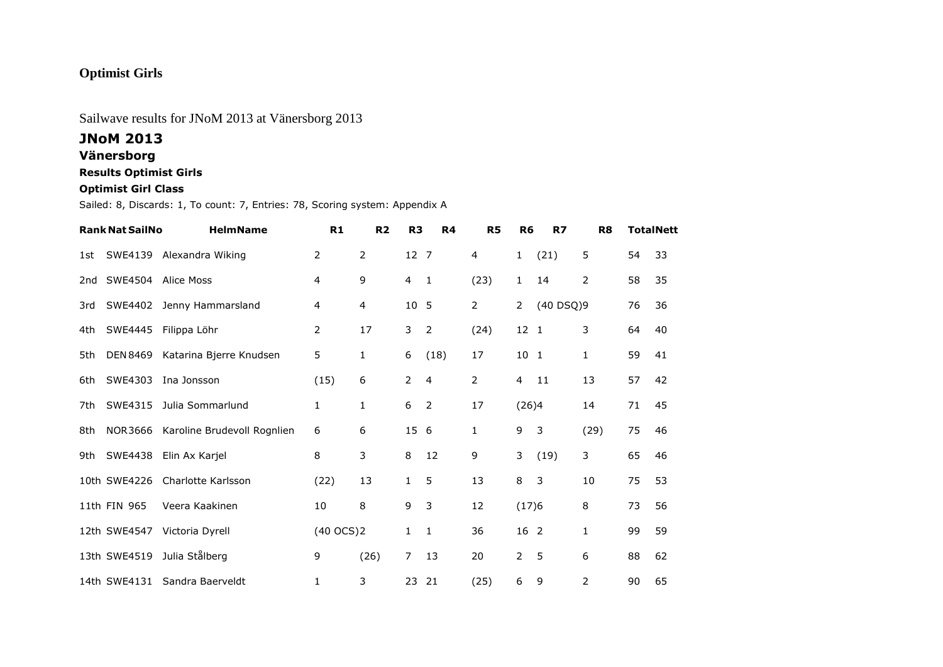# **Optimist Girls**

## Sailwave results for JNoM 2013 at Vänersborg 2013

### **JNoM 2013**

### **Vänersborg**

### **Results Optimist Girls**

#### **Optimist Girl Class**

Sailed: 8, Discards: 1, To count: 7, Entries: 78, Scoring system: Appendix A

|     | <b>Rank Nat SailNo</b> | <b>HelmName</b>             | R1             | R <sub>2</sub> | R <sub>3</sub> | R <sub>4</sub> | <b>R5</b> | R <sub>6</sub> | R7             | R <sub>8</sub> |    | <b>TotalNett</b> |
|-----|------------------------|-----------------------------|----------------|----------------|----------------|----------------|-----------|----------------|----------------|----------------|----|------------------|
| 1st | SWE4139                | Alexandra Wiking            | 2              | 2              | 12 7           |                | 4         | $\mathbf{1}$   | (21)           | 5              | 54 | 33               |
| 2nd | SWE4504                | <b>Alice Moss</b>           | 4              | 9              | 4              | $\mathbf{1}$   | (23)      | $\mathbf{1}$   | 14             | 2              | 58 | 35               |
| 3rd | SWE4402                | Jenny Hammarsland           | 4              | 4              | 10             | - 5            | 2         | 2              | (40 DSQ)9      |                | 76 | 36               |
| 4th | SWE4445                | Filippa Löhr                | 2              | 17             | 3              | $\overline{2}$ | (24)      | 12 1           |                | 3              | 64 | 40               |
| 5th | <b>DEN 8469</b>        | Katarina Bjerre Knudsen     | 5              | 1              | 6              | (18)           | 17        | 10             | $\overline{1}$ | 1              | 59 | 41               |
| 6th | SWE4303                | Ina Jonsson                 | (15)           | 6              | $\overline{2}$ | $\overline{4}$ | 2         | 4              | 11             | 13             | 57 | 42               |
| 7th | SWE4315                | Julia Sommarlund            | 1              | 1              | 6              | $\overline{2}$ | 17        | (26)4          |                | 14             | 71 | 45               |
| 8th | <b>NOR3666</b>         | Karoline Brudevoll Rognlien | 6              | 6              | 15             | - 6            | 1         | 9              | 3              | (29)           | 75 | 46               |
| 9th | SWE4438                | Elin Ax Karjel              | 8              | 3              | 8              | 12             | 9         | 3              | (19)           | 3              | 65 | 46               |
|     | 10th SWE4226           | Charlotte Karlsson          | (22)           | 13             | 1              | 5              | 13        | 8              | $\mathbf{3}$   | 10             | 75 | 53               |
|     | 11th FIN 965           | Veera Kaakinen              | 10             | 8              | 9              | 3              | 12        | (17)6          |                | 8              | 73 | 56               |
|     | 12th SWE4547           | Victoria Dyrell             | $(40$ OCS $)2$ |                | $\mathbf{1}$   | $\mathbf{1}$   | 36        | 16 2           |                | 1              | 99 | 59               |
|     | 13th SWE4519           | Julia Stålberg              | 9              | (26)           | $\overline{7}$ | 13             | 20        | $\overline{2}$ | 5              | 6              | 88 | 62               |
|     | 14th SWE4131           | Sandra Baerveldt            | 1              | 3              | 23             | 21             | (25)      | 6              | 9              | 2              | 90 | 65               |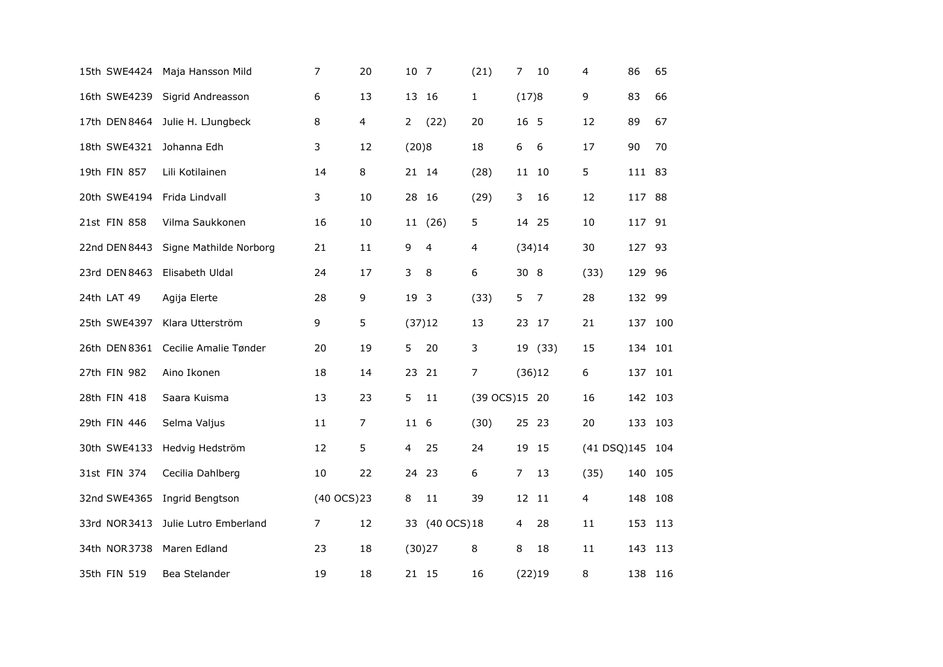| 15th SWE4424  | Maja Hansson Mild      | $\overline{7}$ | 20             | 10 7           |                | (21)           | $\overline{7}$ | 10      | 4           | 86      | 65  |
|---------------|------------------------|----------------|----------------|----------------|----------------|----------------|----------------|---------|-------------|---------|-----|
| 16th SWE4239  | Sigrid Andreasson      | 6              | 13             | 13             | -16            | 1              | (17)8          |         | 9           | 83      | 66  |
| 17th DEN 8464 | Julie H. LJungbeck     | 8              | $\overline{4}$ | $\overline{2}$ | (22)           | 20             | 16 5           |         | 12          | 89      | 67  |
| 18th SWE4321  | Johanna Edh            | 3              | 12             | (20)8          |                | 18             | 6              | 6       | 17          | 90      | 70  |
| 19th FIN 857  | Lili Kotilainen        | 14             | 8              |                | 21 14          | (28)           |                | 11 10   | 5           | 111 83  |     |
| 20th SWE4194  | Frida Lindvall         | 3              | 10             |                | 28 16          | (29)           | 3              | 16      | 12          | 117 88  |     |
| 21st FIN 858  | Vilma Saukkonen        | 16             | 10             |                | 11 (26)        | 5              | 14 25          |         | 10          | 117 91  |     |
| 22nd DEN 8443 | Signe Mathilde Norborg | 21             | 11             | 9              | 4              | $\overline{4}$ |                | (34)14  | 30          | 127     | 93  |
| 23rd DEN 8463 | Elisabeth Uldal        | 24             | 17             | 3              | 8              | 6              | 30 8           |         | (33)        | 129 96  |     |
| 24th LAT 49   | Agija Elerte           | 28             | 9              | 19 3           |                | (33)           | 5              | 7       | 28          | 132     | 99  |
| 25th SWE4397  | Klara Utterström       | 9              | 5              |                | (37)12         | 13             |                | 23 17   | 21          | 137     | 100 |
| 26th DEN 8361 | Cecilie Amalie Tønder  | 20             | 19             | 5.             | 20             | 3              |                | 19 (33) | 15          | 134 101 |     |
| 27th FIN 982  | Aino Ikonen            | 18             | 14             | 23             | 21             | 7              |                | (36)12  | 6           | 137     | 101 |
| 28th FIN 418  | Saara Kuisma           | 13             | 23             | 5              | 11             | (39 OCS)15 20  |                |         | 16          | 142 103 |     |
| 29th FIN 446  | Selma Valjus           | 11             | $\overline{7}$ | 11 6           |                | (30)           |                | 25 23   | 20          | 133     | 103 |
| 30th SWE4133  | Hedvig Hedström        | 12             | 5              | 4              | 25             | 24             |                | 19 15   | (41 DSQ)145 |         | 104 |
| 31st FIN 374  | Cecilia Dahlberg       | 10             | 22             |                | 24 23          | 6              | 7              | 13      | (35)        | 140     | 105 |
| 32nd SWE4365  | Ingrid Bengtson        | (40 OCS) 23    |                | 8              | 11             | 39             | 12 11          |         | 4           | 148     | 108 |
| 33rd NOR3413  | Julie Lutro Emberland  | $\overline{7}$ | 12             |                | 33 (40 OCS) 18 |                | 4              | 28      | 11          | 153     | 113 |
| 34th NOR 3738 | Maren Edland           | 23             | 18             |                | (30)27         | 8              | 8              | 18      | 11          | 143     | 113 |
| 35th FIN 519  | Bea Stelander          | 19             | 18             |                | 21 15          | 16             |                | (22)19  | 8           | 138 116 |     |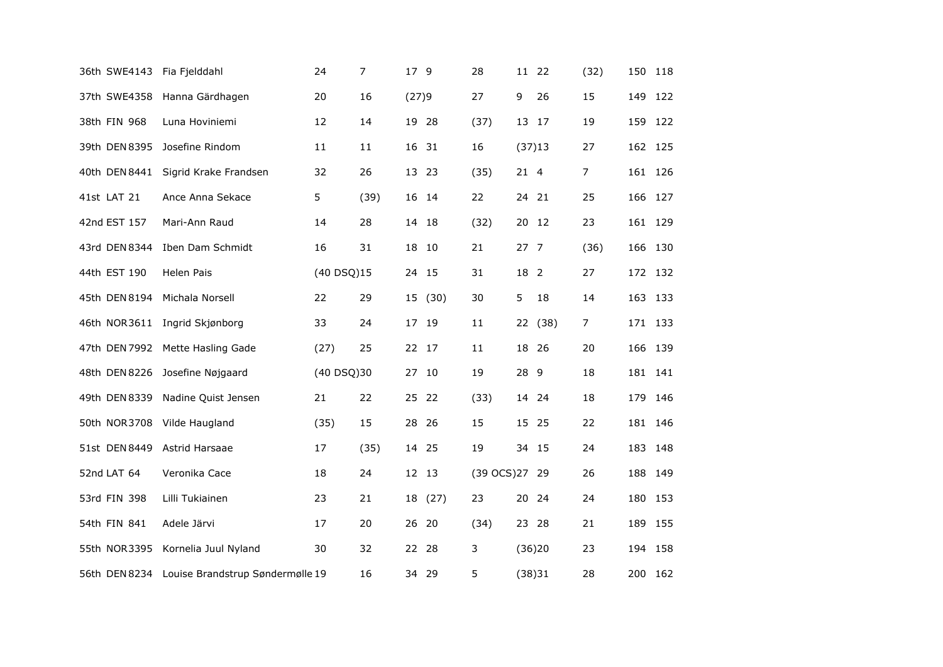| 36th SWE4143  | Fia Fjelddahl                                  | 24         | $\overline{7}$ | 17 9  |       | 28             |                 | 11 22   | (32)           |     | 150 118 |
|---------------|------------------------------------------------|------------|----------------|-------|-------|----------------|-----------------|---------|----------------|-----|---------|
| 37th SWE4358  | Hanna Gärdhagen                                | 20         | 16             | (27)9 |       | 27             | 9               | 26      | 15             | 149 | 122     |
| 38th FIN 968  | Luna Hoviniemi                                 | 12         | 14             | 19 28 |       | (37)           |                 | 13 17   | 19             |     | 159 122 |
| 39th DEN 8395 | Josefine Rindom                                | 11         | 11             | 16 31 |       | 16             |                 | (37)13  | 27             |     | 162 125 |
| 40th DEN 8441 | Sigrid Krake Frandsen                          | 32         | 26             | 13 23 |       | (35)           | 21 4            |         | $\overline{7}$ |     | 161 126 |
| 41st LAT 21   | Ance Anna Sekace                               | 5          | (39)           | 16 14 |       | 22             |                 | 24 21   | 25             |     | 166 127 |
| 42nd EST 157  | Mari-Ann Raud                                  | 14         | 28             | 14 18 |       | (32)           |                 | 20 12   | 23             |     | 161 129 |
| 43rd DEN 8344 | Iben Dam Schmidt                               | 16         | 31             | 18    | 10    | 21             | 27 <sub>7</sub> |         | (36)           | 166 | 130     |
| 44th EST 190  | Helen Pais                                     | (40 DSQ)15 |                |       | 24 15 | 31             | 18 2            |         | 27             |     | 172 132 |
| 45th DEN 8194 | Michala Norsell                                | 22         | 29             | 15    | (30)  | 30             | 5               | 18      | 14             |     | 163 133 |
| 46th NOR3611  | Ingrid Skjønborg                               | 33         | 24             | 17 19 |       | 11             |                 | 22 (38) | $\overline{7}$ |     | 171 133 |
| 47th DEN 7992 | Mette Hasling Gade                             | (27)       | 25             | 22 17 |       | 11             |                 | 18 26   | 20             |     | 166 139 |
| 48th DEN 8226 | Josefine Nøjgaard                              | (40 DSQ)30 |                | 27 10 |       | 19             | 28              | - 9     | 18             |     | 181 141 |
| 49th DEN 8339 | Nadine Quist Jensen                            | 21         | 22             | 25 22 |       | (33)           |                 | 14 24   | 18             |     | 179 146 |
| 50th NOR3708  | Vilde Haugland                                 | (35)       | 15             | 28 26 |       | 15             |                 | 15 25   | 22             | 181 | 146     |
| 51st DEN 8449 | Astrid Harsaae                                 | 17         | (35)           |       | 14 25 | 19             |                 | 34 15   | 24             |     | 183 148 |
| 52nd LAT 64   | Veronika Cace                                  | 18         | 24             | 12 13 |       | (39 OCS) 27 29 |                 |         | 26             |     | 188 149 |
| 53rd FIN 398  | Lilli Tukiainen                                | 23         | 21             | 18    | (27)  | 23             |                 | 20 24   | 24             | 180 | 153     |
| 54th FIN 841  | Adele Järvi                                    | 17         | 20             | 26 20 |       | (34)           |                 | 23 28   | 21             |     | 189 155 |
| 55th NOR3395  | Kornelia Juul Nyland                           | 30         | 32             | 22    | - 28  | 3              |                 | (36)20  | 23             | 194 | 158     |
|               | 56th DEN 8234 Louise Brandstrup Søndermølle 19 |            | 16             |       | 34 29 | 5              |                 | (38)31  | 28             |     | 200 162 |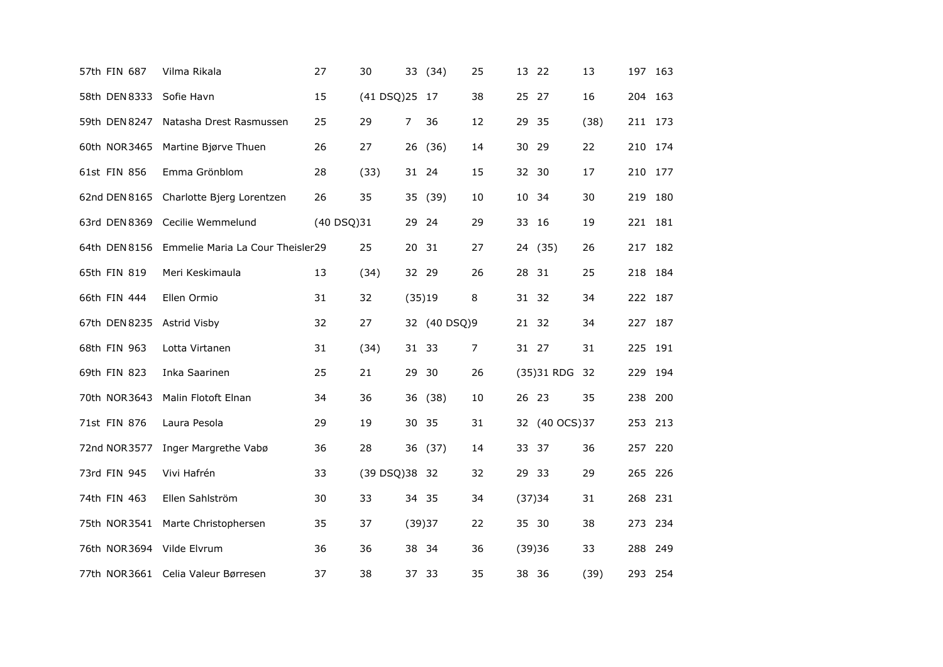| 57th FIN 687  | Vilma Rikala                       | 27         | 30            |       | 33 (34)      | 25 |    | 13 22          | 13   | 197 163 |     |
|---------------|------------------------------------|------------|---------------|-------|--------------|----|----|----------------|------|---------|-----|
| 58th DEN 8333 | Sofie Havn                         | 15         | (41 DSQ)25 17 |       |              | 38 | 25 | - 27           | 16   | 204     | 163 |
| 59th DEN 8247 | Natasha Drest Rasmussen            | 25         | 29            | 7     | 36           | 12 |    | 29 35          | (38) | 211 173 |     |
| 60th NOR3465  | Martine Bjørve Thuen               | 26         | 27            | 26    | (36)         | 14 |    | 30 29          | 22   | 210 174 |     |
| 61st FIN 856  | Emma Grönblom                      | 28         | (33)          |       | 31 24        | 15 |    | 32 30          | 17   | 210     | 177 |
| 62nd DEN 8165 | Charlotte Bjerg Lorentzen          | 26         | 35            |       | 35 (39)      | 10 |    | 10 34          | 30   | 219 180 |     |
| 63rd DEN 8369 | Cecilie Wemmelund                  | (40 DSQ)31 |               | 29    | - 24         | 29 |    | 33 16          | 19   | 221 181 |     |
| 64th DEN 8156 | Emmelie Maria La Cour Theisler29   |            | 25            | 20    | -31          | 27 |    | 24 (35)        | 26   | 217     | 182 |
| 65th FIN 819  | Meri Keskimaula                    | 13         | (34)          | 32 29 |              | 26 |    | 28 31          | 25   | 218 184 |     |
| 66th FIN 444  | Ellen Ormio                        | 31         | 32            |       | (35)19       | 8  |    | 31 32          | 34   | 222 187 |     |
| 67th DEN 8235 | Astrid Visby                       | 32         | 27            |       | 32 (40 DSQ)9 |    |    | 21 32          | 34   | 227 187 |     |
| 68th FIN 963  | Lotta Virtanen                     | 31         | (34)          |       | 31 33        | 7  |    | 31 27          | 31   | 225 191 |     |
| 69th FIN 823  | Inka Saarinen                      | 25         | 21            | 29    | -30          | 26 |    | (35) 31 RDG    | 32   | 229     | 194 |
| 70th NOR3643  | Malin Flotoft Elnan                | 34         | 36            | 36    | (38)         | 10 |    | 26 23          | 35   | 238 200 |     |
| 71st FIN 876  | Laura Pesola                       | 29         | 19            | 30    | 35           | 31 |    | 32 (40 OCS) 37 |      | 253     | 213 |
| 72nd NOR 3577 | Inger Margrethe Vabø               | 36         | 28            |       | 36 (37)      | 14 |    | 33 37          | 36   | 257     | 220 |
| 73rd FIN 945  | Vivi Hafrén                        | 33         | (39 DSQ)38 32 |       |              | 32 |    | 29 33          | 29   | 265 226 |     |
| 74th FIN 463  | Ellen Sahlström                    | 30         | 33            |       | 34 35        | 34 |    | (37)34         | 31   | 268 231 |     |
| 75th NOR3541  | Marte Christophersen               | 35         | 37            |       | (39)37       | 22 |    | 35 30          | 38   | 273 234 |     |
| 76th NOR3694  | Vilde Elvrum                       | 36         | 36            |       | 38 34        | 36 |    | (39)36         | 33   | 288 249 |     |
|               | 77th NOR3661 Celia Valeur Børresen | 37         | 38            |       | 37 33        | 35 |    | 38 36          | (39) | 293 254 |     |